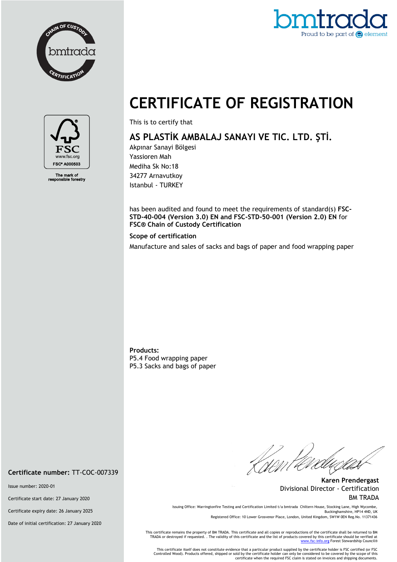



## **CERTIFICATE OF REGISTRATION**



The mark of<br>ponsible forestry

This is to certify that

## **AS PLASTİK AMBALAJ SANAYI VE TIC. LTD. ŞTİ.**

Akpınar Sanayi Bölgesi Yassioren Mah Mediha Sk No:18 34277 Arnavutkoy Istanbul - TURKEY

has been audited and found to meet the requirements of standard(s) **FSC-STD-40-004 (Version 3.0) EN and FSC-STD-50-001 (Version 2.0) EN** for **FSC® Chain of Custody Certification**

## **Scope of certification**

Manufacture and sales of sacks and bags of paper and food wrapping paper

**Products:** P5.4 Food wrapping paper P5.3 Sacks and bags of paper

//<br>Nom t

**Karen Prendergast** Divisional Director - Certification BM TRADA

Issuing Office: Warringtonfire Testing and Certification Limited t/a bmtrada Chiltern House, Stocking Lane, High Wycombe, Buckinghamshire, HP14 4ND, UK

Registered Office: 10 Lower Grosvenor Place, London, United Kingdom, SW1W 0EN Reg.No. 11371436

This certificate remains the property of BM TRADA. This certificate and all copies or reproductions of the certificate shall be returned to BM<br>TRADA or destroyed if requested. . The validity of this certificate and the lis

This certificate itself does not constitute evidence that a particular product supplied by the certificate holder is FSC certified (or FSC<br>Controlled Wood). Products offered, shipped or sold by the certificate holder can o certificate when the required FSC claim is stated on invoices and shipping documents.

**Certificate number:** TT-COC-007339

Issue number: 2020-01

Certificate start date: 27 January 2020

Certificate expiry date: 26 January 2025

Date of initial certification: 27 January 2020